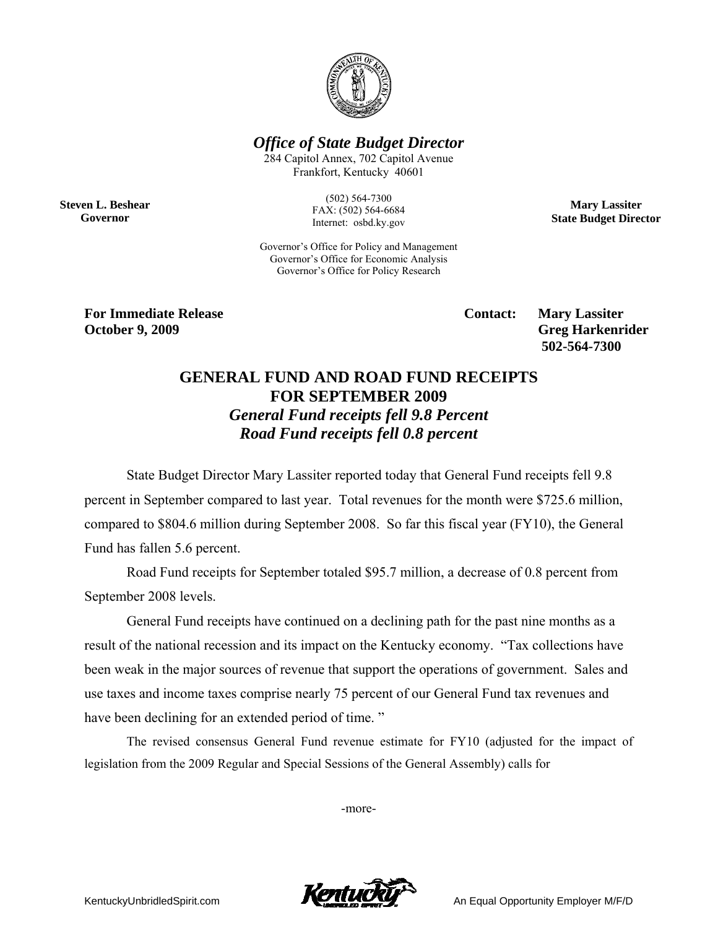

*Office of State Budget Director* 

284 Capitol Annex, 702 Capitol Avenue Frankfort, Kentucky 40601

**Steven L. Beshear Governor** 

(502) 564-7300 FAX: (502) 564-6684 Internet: osbd.ky.gov

**Mary Lassiter State Budget Director** 

Governor's Office for Policy and Management Governor's Office for Economic Analysis Governor's Office for Policy Research

**For Immediate Release Service Service Service Contact: Mary Lassiter October 9, 2009** Greg Harkenrider **Greg Harkenrider Greg Harkenrider Greg Harkenrider** 

 **502-564-7300** 

## **GENERAL FUND AND ROAD FUND RECEIPTS FOR SEPTEMBER 2009**  *General Fund receipts fell 9.8 Percent Road Fund receipts fell 0.8 percent*

State Budget Director Mary Lassiter reported today that General Fund receipts fell 9.8 percent in September compared to last year. Total revenues for the month were \$725.6 million, compared to \$804.6 million during September 2008. So far this fiscal year (FY10), the General Fund has fallen 5.6 percent.

Road Fund receipts for September totaled \$95.7 million, a decrease of 0.8 percent from September 2008 levels.

General Fund receipts have continued on a declining path for the past nine months as a result of the national recession and its impact on the Kentucky economy. "Tax collections have been weak in the major sources of revenue that support the operations of government. Sales and use taxes and income taxes comprise nearly 75 percent of our General Fund tax revenues and have been declining for an extended period of time."

 The revised consensus General Fund revenue estimate for FY10 (adjusted for the impact of legislation from the 2009 Regular and Special Sessions of the General Assembly) calls for

-more-



KentuckyUnbridledSpirit.com **An Equal Opportunity Employer M/F/D**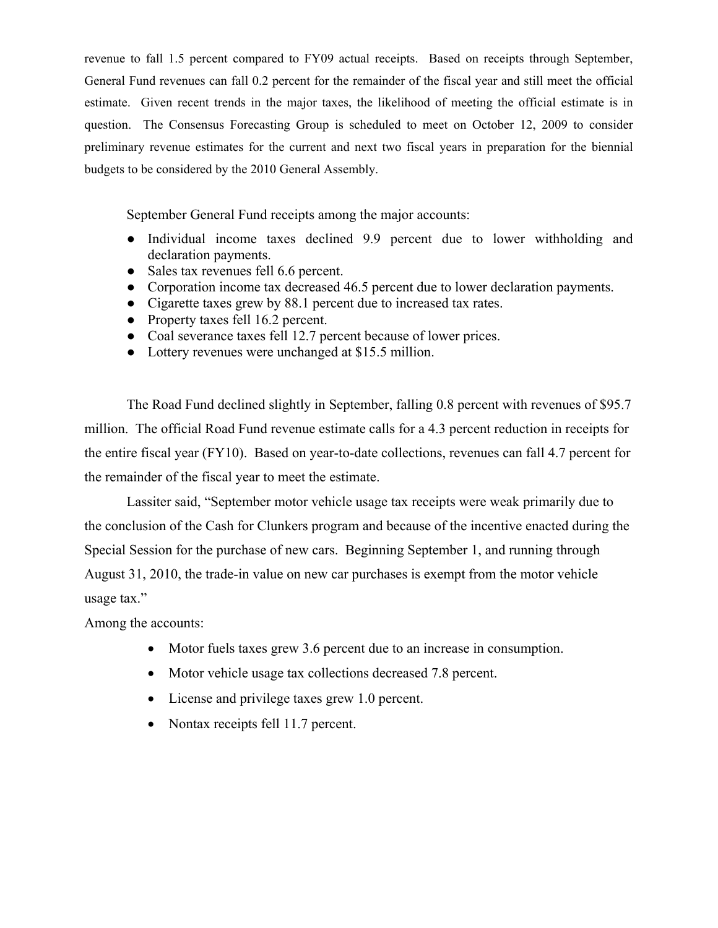revenue to fall 1.5 percent compared to FY09 actual receipts. Based on receipts through September, General Fund revenues can fall 0.2 percent for the remainder of the fiscal year and still meet the official estimate. Given recent trends in the major taxes, the likelihood of meeting the official estimate is in question. The Consensus Forecasting Group is scheduled to meet on October 12, 2009 to consider preliminary revenue estimates for the current and next two fiscal years in preparation for the biennial budgets to be considered by the 2010 General Assembly.

September General Fund receipts among the major accounts:

- Individual income taxes declined 9.9 percent due to lower withholding and declaration payments.
- Sales tax revenues fell 6.6 percent.
- Corporation income tax decreased 46.5 percent due to lower declaration payments.
- Cigarette taxes grew by 88.1 percent due to increased tax rates.
- Property taxes fell 16.2 percent.
- Coal severance taxes fell 12.7 percent because of lower prices.
- Lottery revenues were unchanged at \$15.5 million.

The Road Fund declined slightly in September, falling 0.8 percent with revenues of \$95.7 million. The official Road Fund revenue estimate calls for a 4.3 percent reduction in receipts for the entire fiscal year (FY10). Based on year-to-date collections, revenues can fall 4.7 percent for the remainder of the fiscal year to meet the estimate.

Lassiter said, "September motor vehicle usage tax receipts were weak primarily due to the conclusion of the Cash for Clunkers program and because of the incentive enacted during the Special Session for the purchase of new cars. Beginning September 1, and running through August 31, 2010, the trade-in value on new car purchases is exempt from the motor vehicle usage tax."

Among the accounts:

- Motor fuels taxes grew 3.6 percent due to an increase in consumption.
- Motor vehicle usage tax collections decreased 7.8 percent.
- License and privilege taxes grew 1.0 percent.
- Nontax receipts fell 11.7 percent.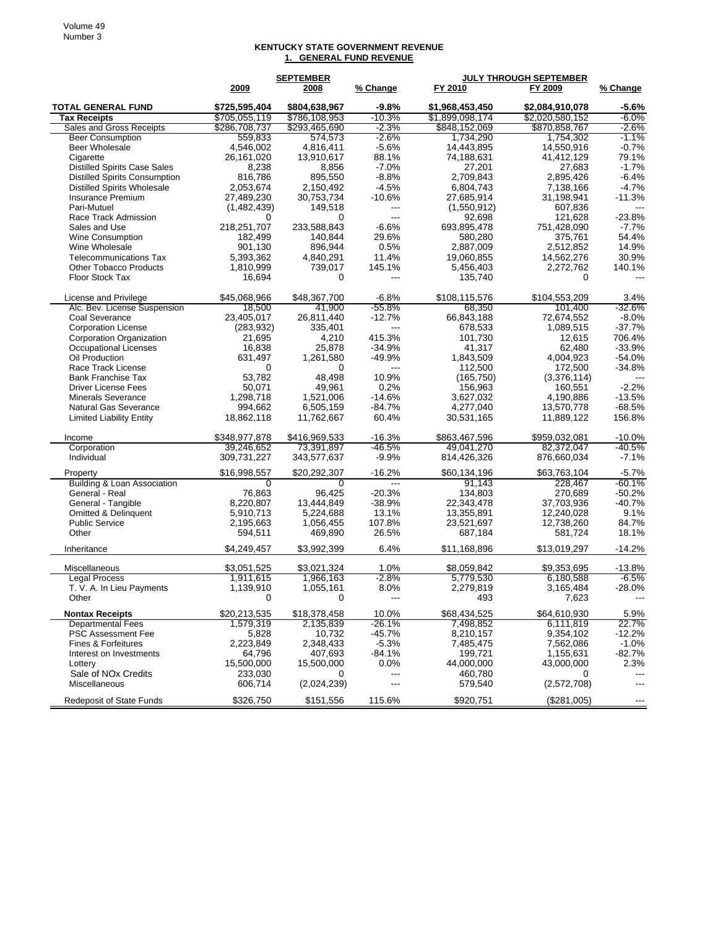## **KENTUCKY STATE GOVERNMENT REVENUE 1. GENERAL FUND REVENUE**

|                                                 |                      | <b>JULY THROUGH SEPTEMBER</b><br><b>SEPTEMBER</b> |                      |                         |                         |                        |
|-------------------------------------------------|----------------------|---------------------------------------------------|----------------------|-------------------------|-------------------------|------------------------|
|                                                 | 2009                 | 2008                                              | % Change             | FY 2010                 | FY 2009                 | % Change               |
| <b>TOTAL GENERAL FUND</b>                       | \$725,595,404        | \$804,638,967                                     | $-9.8%$              | \$1,968,453,450         | \$2,084,910,078         | -5.6%                  |
| <b>Tax Receipts</b>                             | \$705,055,119        | \$786,108,953                                     | $-10.3%$             | \$1,899,098,174         | \$2,020,580,152         | $-6.0%$                |
| Sales and Gross Receipts                        | \$286,708,737        | \$293,465,690                                     | $-2.3\%$             | \$848,152,069           | \$870,858,767           | -2.6%                  |
| <b>Beer Consumption</b>                         | 559,833              | 574,573                                           | -2.6%                | 1,734,290               | 1,754,302               | $-1.1\%$               |
| <b>Beer Wholesale</b>                           | 4,546,002            | 4,816,411                                         | $-5.6%$              | 14,443,895              | 14,550,916              | $-0.7%$                |
| Cigarette                                       | 26,161,020           | 13,910,617                                        | 88.1%                | 74,188,631              | 41,412,129              | 79.1%                  |
| <b>Distilled Spirits Case Sales</b>             | 8,238                | 8,856                                             | $-7.0%$              | 27,201                  | 27,683                  | $-1.7%$                |
| <b>Distilled Spirits Consumption</b>            | 816,786              | 895,550                                           | $-8.8%$              | 2,709,843               | 2,895,426               | $-6.4%$                |
| <b>Distilled Spirits Wholesale</b>              | 2,053,674            | 2,150,492                                         | $-4.5%$              | 6,804,743               | 7,138,166               | $-4.7%$                |
| <b>Insurance Premium</b>                        | 27,489,230           | 30,753,734                                        | $-10.6%$             | 27,685,914              | 31,198,941              | $-11.3%$               |
| Pari-Mutuel                                     | (1,482,439)          | 149,518                                           | $---$                | (1,550,912)             | 607,836                 |                        |
| Race Track Admission                            | 0                    | $\Omega$                                          | ---                  | 92,698                  | 121,628                 | $-23.8%$               |
| Sales and Use                                   | 218,251,707          | 233,588,843                                       | $-6.6%$              | 693,895,478             | 751,428,090             | $-7.7%$<br>54.4%       |
| Wine Consumption                                | 182,499              | 140.844                                           | 29.6%                | 580,280                 | 375,761                 | 14.9%                  |
| Wine Wholesale<br><b>Telecommunications Tax</b> | 901,130<br>5,393,362 | 896,944                                           | 0.5%<br>11.4%        | 2,887,009<br>19,060,855 | 2,512,852<br>14,562,276 | 30.9%                  |
| <b>Other Tobacco Products</b>                   | 1,810,999            | 4,840,291<br>739,017                              | 145.1%               | 5,456,403               | 2,272,762               | 140.1%                 |
| Floor Stock Tax                                 | 16,694               | 0                                                 | ---                  | 135,740                 | 0                       |                        |
|                                                 |                      |                                                   |                      |                         |                         |                        |
| License and Privilege                           | \$45,068,966         | \$48,367,700                                      | $-6.8%$              | \$108,115,576           | \$104,553,209           | 3.4%                   |
| Alc. Bev. License Suspension                    | 18.500               | 41.900                                            | $-55.8%$             | 68,350                  | 101.400                 | $-32.6%$               |
| Coal Severance                                  | 23,405,017           | 26,811,440                                        | $-12.7%$             | 66,843,188              | 72,674,552              | $-8.0%$                |
| <b>Corporation License</b>                      | (283, 932)           | 335,401                                           | $---$                | 678,533                 | 1,089,515               | $-37.7%$               |
| Corporation Organization                        | 21,695               | 4,210                                             | 415.3%               | 101,730                 | 12,615                  | 706.4%                 |
| Occupational Licenses                           | 16,838               | 25.878                                            | $-34.9%$             | 41,317                  | 62.480                  | $-33.9%$               |
| Oil Production                                  | 631,497              | 1,261,580                                         | -49.9%               | 1,843,509               | 4,004,923               | $-54.0%$               |
| Race Track License                              | 0                    | 0                                                 | $\qquad \qquad -$    | 112,500                 | 172,500                 | $-34.8%$               |
| <b>Bank Franchise Tax</b>                       | 53.782               | 48,498                                            | 10.9%                | (165, 750)              | (3,376,114)             |                        |
| <b>Driver License Fees</b>                      | 50,071               | 49,961                                            | 0.2%                 | 156,963<br>3,627,032    | 160,551                 | $-2.2%$                |
| <b>Minerals Severance</b>                       | 1,298,718<br>994.662 | 1,521,006                                         | $-14.6%$<br>$-84.7%$ | 4.277.040               | 4,190,886               | $-13.5%$<br>$-68.5%$   |
| <b>Natural Gas Severance</b>                    |                      | 6,505,159                                         |                      |                         | 13,570,778              | 156.8%                 |
| <b>Limited Liability Entity</b>                 | 18,862,118           | 11,762,667                                        | 60.4%                | 30,531,165              | 11,889,122              |                        |
| Income                                          | \$348,977,878        | \$416,969,533                                     | $-16.3%$             | \$863,467,596           | \$959,032,081           | $-10.0%$               |
| Corporation                                     | 39,246,652           | 73,391,897                                        | -46.5%               | 49,041,270              | 82,372,047              | $-40.5%$               |
| Individual                                      | 309,731,227          | 343,577,637                                       | $-9.9%$              | 814,426,326             | 876,660,034             | $-7.1%$                |
| Property                                        | \$16,998,557         | \$20,292,307                                      | $-16.2%$             | \$60,134,196            | \$63,763,104            | $-5.7%$                |
| Building & Loan Association                     | 0                    | 0                                                 | $\overline{a}$       | 91,143                  | 228,467                 | $-60.1%$               |
| General - Real                                  | 76,863               | 96,425                                            | $-20.3%$             | 134,803                 | 270,689                 | $-50.2%$               |
| General - Tangible                              | 8,220,807            | 13,444,849                                        | $-38.9%$             | 22,343,478              | 37,703,936              | $-40.7%$               |
| Omitted & Delinquent                            | 5,910,713            | 5,224,688                                         | 13.1%                | 13,355,891              | 12,240,028              | 9.1%                   |
| <b>Public Service</b>                           | 2,195,663            | 1,056,455                                         | 107.8%               | 23,521,697              | 12,738,260              | 84.7%                  |
| Other                                           | 594,511              | 469,890                                           | 26.5%                | 687,184                 | 581,724                 | 18.1%                  |
| Inheritance                                     | \$4,249,457          | \$3,992,399                                       | 6.4%                 | \$11,168,896            | \$13,019,297            | $-14.2%$               |
| Miscellaneous                                   | \$3,051,525          | \$3,021,324                                       | 1.0%                 | \$8,059,842             | \$9,353,695             | $-13.8%$               |
| Legal Process                                   | 1,911,615            | 1.966.163                                         | $-2.8%$              | 5,779,530               | 6,180,588               | $-6.5%$                |
| T. V. A. In Lieu Payments                       | 1,139,910            | 1,055,161                                         | 8.0%                 | 2,279,819               | 3,165,484               | $-28.0%$               |
| Other                                           |                      |                                                   |                      | 493                     | 7,623                   |                        |
| <b>Nontax Receipts</b>                          | \$20,213,535         | \$18,378,458                                      | 10.0%                | \$68,434,525            | \$64,610,930            | 5.9%                   |
| <b>Departmental Fees</b>                        | 1,579,319            | 2,135,839                                         | -26.1%               | 7,498,852               | 6,111,819               | 22.7%                  |
| <b>PSC Assessment Fee</b>                       | 5,828                | 10,732                                            | $-45.7%$             | 8,210,157               | 9,354,102               | $-12.2%$               |
| <b>Fines &amp; Forfeitures</b>                  | 2,223,849            | 2,348,433                                         | $-5.3%$              | 7,485,475               | 7,562,086               | $-1.0%$                |
| Interest on Investments                         | 64,796               | 407,693                                           | -84.1%               | 199,721                 | 1,155,631               | $-82.7%$               |
| Lottery                                         | 15,500,000           | 15,500,000                                        | $0.0\%$              | 44,000,000              | 43,000,000              | 2.3%                   |
| Sale of NO <sub>x</sub> Credits                 | 233,030              | 0                                                 | ---                  | 460,780                 | 0                       | ---                    |
| Miscellaneous                                   | 606,714              | (2,024,239)                                       | ---                  | 579,540                 | (2,572,708)             | ---                    |
| <b>Redeposit of State Funds</b>                 | \$326,750            | \$151,556                                         | 115.6%               | \$920,751               | (\$281,005)             | $\qquad \qquad \cdots$ |